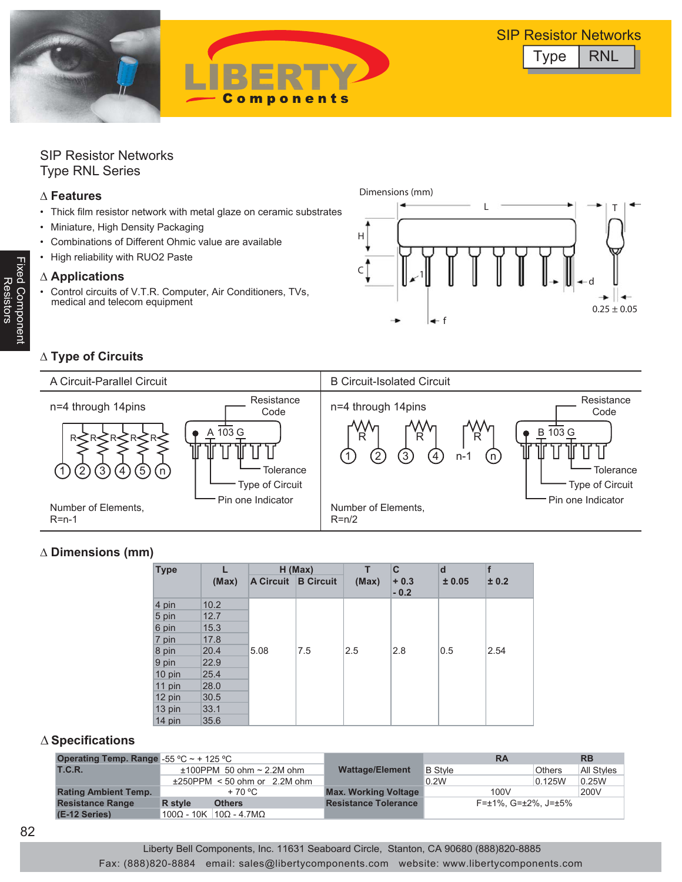|                                        |      | <b>SIP Resistor Networks</b> |
|----------------------------------------|------|------------------------------|
|                                        | Type | <b>RNL</b>                   |
| Components<br>$\overline{\phantom{0}}$ |      |                              |
|                                        |      |                              |

L T

 $0.25 \pm 0.05$ 

d

# SIP Resistor Networks Type RNL Series

#### **∆ Features**

- Thick film resistor network with metal glaze on ceramic substrates
- Miniature, High Density Packaging
- Combinations of Different Ohmic value are available
- High reliability with RUO2 Paste

### **∆ Applications**

• Control circuits of V.T.R. Computer, Air Conditioners, TVs, medical and telecom equipment

## **∆ Type of Circuits**



C

H

f

1

Dimensions (mm)

### **∆ Dimensions (mm)**

| <b>Type</b>      |       |                  | H(Max)           |       | $\mathbf c$      | d      | f     |  |
|------------------|-------|------------------|------------------|-------|------------------|--------|-------|--|
|                  | (Max) | <b>A Circuit</b> | <b>B</b> Circuit | (Max) | $+0.3$<br>$-0.2$ | ± 0.05 | ± 0.2 |  |
| 4 pin            | 10.2  |                  |                  |       |                  |        |       |  |
| 5 pin            | 12.7  |                  |                  |       |                  |        |       |  |
| 6 pin            | 15.3  |                  |                  |       |                  |        |       |  |
| 7 pin            | 17.8  |                  |                  |       |                  |        |       |  |
| 8 pin            | 20.4  | 5.08             | 7.5              | 2.5   | 2.8              | 0.5    | 2.54  |  |
| 9 pin            | 22.9  |                  |                  |       |                  |        |       |  |
| $10 \text{ pin}$ | 25.4  |                  |                  |       |                  |        |       |  |
| 11 pin           | 28.0  |                  |                  |       |                  |        |       |  |
| $12 \text{ pin}$ | 30.5  |                  |                  |       |                  |        |       |  |
| $13 \text{ pin}$ | 33.1  |                  |                  |       |                  |        |       |  |
| 14 pin           | 35.6  |                  |                  |       |                  |        |       |  |

#### ∆ **Specifications**

| <b>Operating Temp. Range</b> -55 °C $\sim$ + 125 °C |                              |                                      |                             |                             | <b>RA</b> |               |                                             | <b>RB</b>           |
|-----------------------------------------------------|------------------------------|--------------------------------------|-----------------------------|-----------------------------|-----------|---------------|---------------------------------------------|---------------------|
| <b>T.C.R.</b>                                       | $±100$ PPM 50 ohm ~ 2.2M ohm |                                      | <b>Wattage/Element</b>      | <b>B</b> Stvle              |           | <b>Others</b> | All Styles                                  |                     |
|                                                     |                              | $\pm 250$ PPM < 50 ohm or 2.2M ohm   |                             |                             | 0.2W      |               | 0.125W                                      | $\vert 0.25W \vert$ |
| <b>Rating Ambient Temp.</b>                         | $+70 °C$                     |                                      | <b>Max. Working Voltage</b> |                             | 100V      |               | 200V                                        |                     |
| <b>Resistance Range</b>                             | R style                      | <b>Others</b>                        |                             | <b>Resistance Tolerance</b> |           |               | $F = \pm 1\%$ . G= $\pm 2\%$ . J= $\pm 5\%$ |                     |
| (E-12 Series)                                       |                              | $100\Omega$ - 10K $10\Omega$ - 4.7MΩ |                             |                             |           |               |                                             |                     |